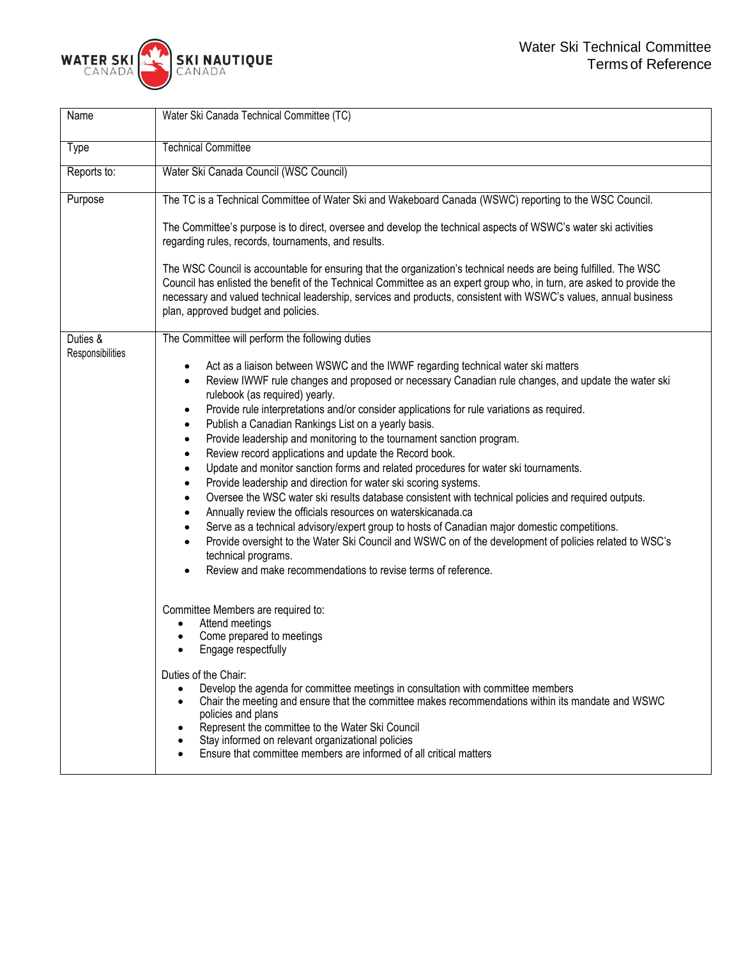

| Name                         | Water Ski Canada Technical Committee (TC)                                                                                                                                                                                                                                                                                                                                                                                                                                                                                                                                                                                                                                                                                                                                                                                                                                                                                                                                                                                                                                                                                                                                                                                                                                                       |  |  |  |  |
|------------------------------|-------------------------------------------------------------------------------------------------------------------------------------------------------------------------------------------------------------------------------------------------------------------------------------------------------------------------------------------------------------------------------------------------------------------------------------------------------------------------------------------------------------------------------------------------------------------------------------------------------------------------------------------------------------------------------------------------------------------------------------------------------------------------------------------------------------------------------------------------------------------------------------------------------------------------------------------------------------------------------------------------------------------------------------------------------------------------------------------------------------------------------------------------------------------------------------------------------------------------------------------------------------------------------------------------|--|--|--|--|
| Type                         | <b>Technical Committee</b>                                                                                                                                                                                                                                                                                                                                                                                                                                                                                                                                                                                                                                                                                                                                                                                                                                                                                                                                                                                                                                                                                                                                                                                                                                                                      |  |  |  |  |
| Reports to:                  | Water Ski Canada Council (WSC Council)                                                                                                                                                                                                                                                                                                                                                                                                                                                                                                                                                                                                                                                                                                                                                                                                                                                                                                                                                                                                                                                                                                                                                                                                                                                          |  |  |  |  |
| Purpose                      | The TC is a Technical Committee of Water Ski and Wakeboard Canada (WSWC) reporting to the WSC Council.                                                                                                                                                                                                                                                                                                                                                                                                                                                                                                                                                                                                                                                                                                                                                                                                                                                                                                                                                                                                                                                                                                                                                                                          |  |  |  |  |
|                              | The Committee's purpose is to direct, oversee and develop the technical aspects of WSWC's water ski activities<br>regarding rules, records, tournaments, and results.                                                                                                                                                                                                                                                                                                                                                                                                                                                                                                                                                                                                                                                                                                                                                                                                                                                                                                                                                                                                                                                                                                                           |  |  |  |  |
|                              | The WSC Council is accountable for ensuring that the organization's technical needs are being fulfilled. The WSC<br>Council has enlisted the benefit of the Technical Committee as an expert group who, in turn, are asked to provide the<br>necessary and valued technical leadership, services and products, consistent with WSWC's values, annual business<br>plan, approved budget and policies.                                                                                                                                                                                                                                                                                                                                                                                                                                                                                                                                                                                                                                                                                                                                                                                                                                                                                            |  |  |  |  |
| Duties &<br>Responsibilities | The Committee will perform the following duties                                                                                                                                                                                                                                                                                                                                                                                                                                                                                                                                                                                                                                                                                                                                                                                                                                                                                                                                                                                                                                                                                                                                                                                                                                                 |  |  |  |  |
|                              | Act as a liaison between WSWC and the IWWF regarding technical water ski matters<br>$\bullet$<br>Review IWWF rule changes and proposed or necessary Canadian rule changes, and update the water ski<br>٠<br>rulebook (as required) yearly.<br>Provide rule interpretations and/or consider applications for rule variations as required.<br>٠<br>Publish a Canadian Rankings List on a yearly basis.<br>$\bullet$<br>Provide leadership and monitoring to the tournament sanction program.<br>$\bullet$<br>Review record applications and update the Record book.<br>$\bullet$<br>Update and monitor sanction forms and related procedures for water ski tournaments.<br>$\bullet$<br>Provide leadership and direction for water ski scoring systems.<br>$\bullet$<br>Oversee the WSC water ski results database consistent with technical policies and required outputs.<br>$\bullet$<br>Annually review the officials resources on waterskicanada.ca<br>$\bullet$<br>Serve as a technical advisory/expert group to hosts of Canadian major domestic competitions.<br>$\bullet$<br>Provide oversight to the Water Ski Council and WSWC on of the development of policies related to WSC's<br>$\bullet$<br>technical programs.<br>Review and make recommendations to revise terms of reference. |  |  |  |  |
|                              | Committee Members are required to:<br>Attend meetings<br>Come prepared to meetings<br>Engage respectfully<br>Duties of the Chair:<br>Develop the agenda for committee meetings in consultation with committee members<br>Chair the meeting and ensure that the committee makes recommendations within its mandate and WSWC<br>$\bullet$<br>policies and plans<br>Represent the committee to the Water Ski Council<br>Stay informed on relevant organizational policies<br>Ensure that committee members are informed of all critical matters                                                                                                                                                                                                                                                                                                                                                                                                                                                                                                                                                                                                                                                                                                                                                    |  |  |  |  |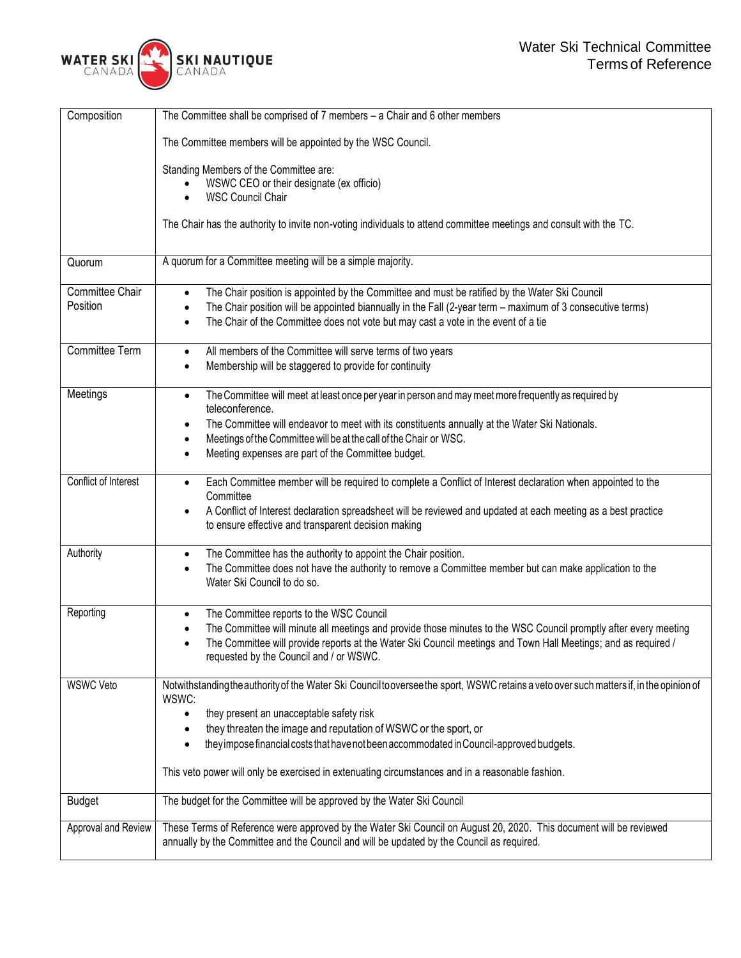| Composition          | The Committee shall be comprised of $7$ members $-$ a Chair and $6$ other members                                                       |  |  |  |  |  |
|----------------------|-----------------------------------------------------------------------------------------------------------------------------------------|--|--|--|--|--|
|                      | The Committee members will be appointed by the WSC Council.                                                                             |  |  |  |  |  |
|                      | Standing Members of the Committee are:                                                                                                  |  |  |  |  |  |
|                      | WSWC CEO or their designate (ex officio)                                                                                                |  |  |  |  |  |
|                      | <b>WSC Council Chair</b>                                                                                                                |  |  |  |  |  |
|                      | The Chair has the authority to invite non-voting individuals to attend committee meetings and consult with the TC.                      |  |  |  |  |  |
|                      |                                                                                                                                         |  |  |  |  |  |
| Quorum               | A quorum for a Committee meeting will be a simple majority.                                                                             |  |  |  |  |  |
|                      |                                                                                                                                         |  |  |  |  |  |
| Committee Chair      | The Chair position is appointed by the Committee and must be ratified by the Water Ski Council<br>$\bullet$                             |  |  |  |  |  |
| Position             | The Chair position will be appointed biannually in the Fall (2-year term - maximum of 3 consecutive terms)                              |  |  |  |  |  |
|                      | The Chair of the Committee does not vote but may cast a vote in the event of a tie<br>$\bullet$                                         |  |  |  |  |  |
| Committee Term       | All members of the Committee will serve terms of two years<br>$\bullet$                                                                 |  |  |  |  |  |
|                      | Membership will be staggered to provide for continuity<br>$\bullet$                                                                     |  |  |  |  |  |
| Meetings             | The Committee will meet at least once per year in person and may meet more frequently as required by<br>$\bullet$                       |  |  |  |  |  |
|                      | teleconference.                                                                                                                         |  |  |  |  |  |
|                      | The Committee will endeavor to meet with its constituents annually at the Water Ski Nationals.                                          |  |  |  |  |  |
|                      | Meetings of the Committee will be at the call of the Chair or WSC.<br>$\bullet$                                                         |  |  |  |  |  |
|                      | Meeting expenses are part of the Committee budget.<br>$\bullet$                                                                         |  |  |  |  |  |
| Conflict of Interest | Each Committee member will be required to complete a Conflict of Interest declaration when appointed to the<br>$\bullet$                |  |  |  |  |  |
|                      | Committee                                                                                                                               |  |  |  |  |  |
|                      | A Conflict of Interest declaration spreadsheet will be reviewed and updated at each meeting as a best practice<br>$\bullet$             |  |  |  |  |  |
|                      | to ensure effective and transparent decision making                                                                                     |  |  |  |  |  |
| Authority            | The Committee has the authority to appoint the Chair position.<br>$\bullet$                                                             |  |  |  |  |  |
|                      | The Committee does not have the authority to remove a Committee member but can make application to the<br>$\bullet$                     |  |  |  |  |  |
|                      | Water Ski Council to do so.                                                                                                             |  |  |  |  |  |
| Reporting            | The Committee reports to the WSC Council<br>$\bullet$                                                                                   |  |  |  |  |  |
|                      | The Committee will minute all meetings and provide those minutes to the WSC Council promptly after every meeting                        |  |  |  |  |  |
|                      | The Committee will provide reports at the Water Ski Council meetings and Town Hall Meetings; and as required /                          |  |  |  |  |  |
|                      | requested by the Council and / or WSWC.                                                                                                 |  |  |  |  |  |
| <b>WSWC Veto</b>     | Notwithstanding the authority of the Water Ski Council tooversee the sport, WSWC retains a veto over such matters if, in the opinion of |  |  |  |  |  |
|                      | WSWC:                                                                                                                                   |  |  |  |  |  |
|                      | they present an unacceptable safety risk<br>$\bullet$                                                                                   |  |  |  |  |  |
|                      | they threaten the image and reputation of WSWC or the sport, or                                                                         |  |  |  |  |  |
|                      | they impose financial costs that have not been accommodated in Council-approved budgets.<br>$\bullet$                                   |  |  |  |  |  |
|                      | This veto power will only be exercised in extenuating circumstances and in a reasonable fashion.                                        |  |  |  |  |  |
| <b>Budget</b>        | The budget for the Committee will be approved by the Water Ski Council                                                                  |  |  |  |  |  |
| Approval and Review  | These Terms of Reference were approved by the Water Ski Council on August 20, 2020. This document will be reviewed                      |  |  |  |  |  |
|                      | annually by the Committee and the Council and will be updated by the Council as required.                                               |  |  |  |  |  |
|                      |                                                                                                                                         |  |  |  |  |  |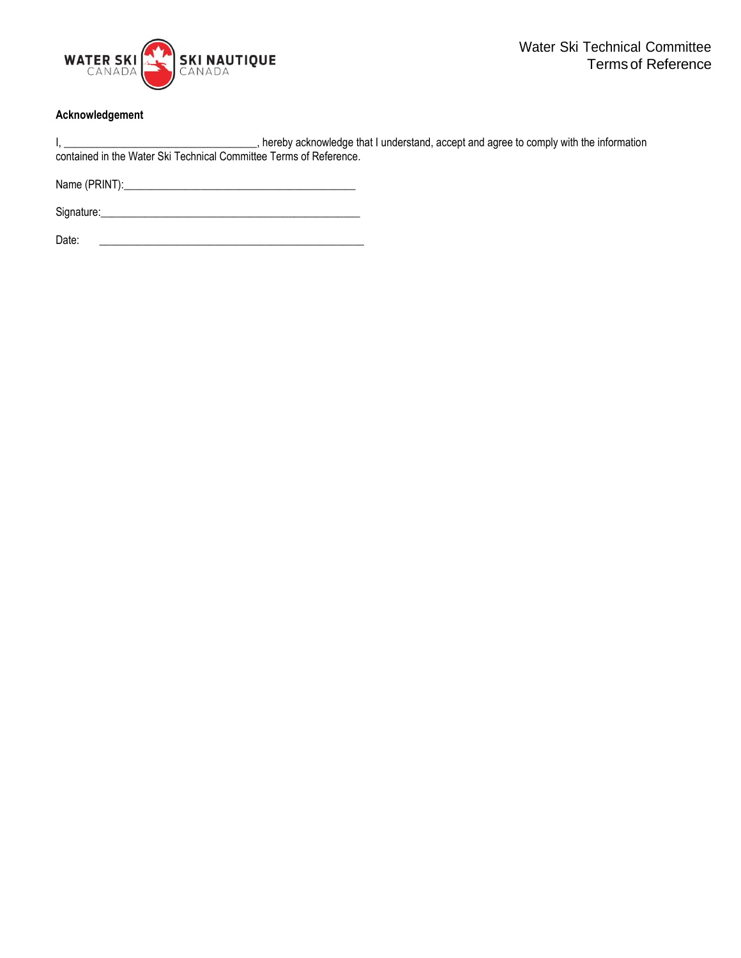

## **Acknowledgement**

|                                                                    |  | hereby acknowledge that I understand, accept and agree to comply with the information |
|--------------------------------------------------------------------|--|---------------------------------------------------------------------------------------|
| contained in the Water Ski Technical Committee Terms of Reference. |  |                                                                                       |

Name (PRINT):\_\_\_\_\_\_\_\_\_\_\_\_\_\_\_\_\_\_\_\_\_\_\_\_\_\_\_\_\_\_\_\_\_\_\_\_\_\_\_\_\_\_

Signature:\_\_\_\_\_\_\_\_\_\_\_\_\_\_\_\_\_\_\_\_\_\_\_\_\_\_\_\_\_\_\_\_\_\_\_\_\_\_\_\_\_\_\_\_\_\_\_

Date: \_\_\_\_\_\_\_\_\_\_\_\_\_\_\_\_\_\_\_\_\_\_\_\_\_\_\_\_\_\_\_\_\_\_\_\_\_\_\_\_\_\_\_\_\_\_\_\_